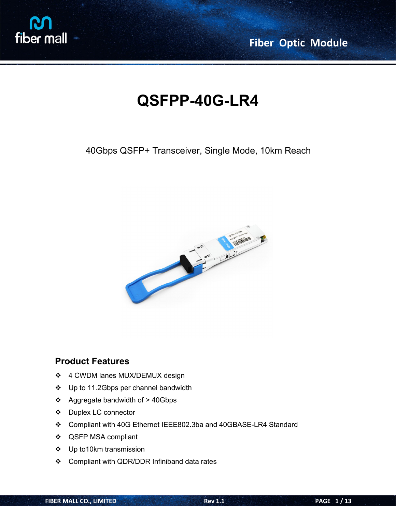

# **QSFPP-40G-LR4**

40Gbps QSFP+ Transceiver, Single Mode, 10km Reach



### **Product Features**

- 4 CWDM lanes MUX/DEMUX design
- ❖ Up to 11.2Gbps per channel bandwidth
- Aggregate bandwidth of > 40Gbps
- Duplex LC connector
- Compliant with 40G Ethernet IEEE802.3ba and 40GBASE-LR4 Standard
- QSFP MSA compliant
- Up to10km transmission
- Compliant with QDR/DDR Infiniband data rates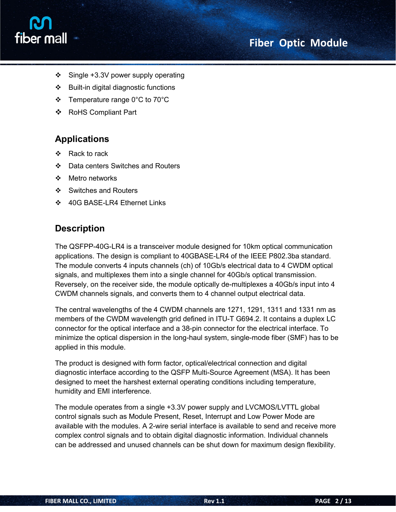



- $\div$  Single +3.3V power supply operating
- Built-in digital diagnostic functions
- Temperature range 0°C to 70°C
- RoHS Compliant Part

## **Applications**

- ❖ Rack to rack
- ❖ Data centers Switches and Routers
- ❖ Metro networks
- ❖ Switches and Routers
- 40G BASE-LR4 Ethernet Links

### **Description**

The QSFPP-40G-LR4 is a transceiver module designed for 10km optical communication applications. The design is compliant to 40GBASE-LR4 of the IEEE P802.3ba standard. The module converts 4 inputs channels (ch) of 10Gb/s electrical data to 4 CWDM optical signals, and multiplexes them into a single channel for 40Gb/s optical transmission. Reversely, on the receiver side, the module optically de-multiplexes a 40Gb/s input into 4 CWDM channels signals, and converts them to 4 channel output electrical data.

The central wavelengths of the 4 CWDM channels are 1271, 1291, 1311 and 1331 nm as members of the CWDM wavelength grid defined in ITU-T G694.2. It contains a duplex LC connector for the optical interface and a 38-pin connector for the electrical interface. To minimize the optical dispersion in the long-haul system, single-mode fiber (SMF) has to be applied in this module.

The product is designed with form factor, optical/electrical connection and digital diagnostic interface according to the QSFP Multi-Source Agreement (MSA). It has been designed to meet the harshest external operating conditions including temperature, humidity and EMI interference.

The module operates from a single +3.3V power supply and LVCMOS/LVTTL global control signals such as Module Present, Reset, Interrupt and Low Power Mode are available with the modules. A 2-wire serial interface is available to send and receive more complex control signals and to obtain digital diagnostic information. Individual channels can be addressed and unused channels can be shut down for maximum design flexibility.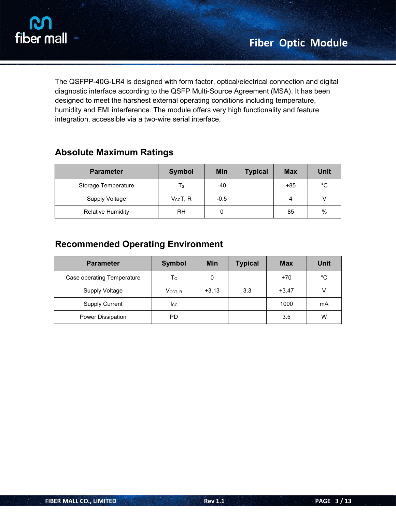

The QSFPP-40G-LR4 is designed with form factor, optical/electrical connection and digital diagnostic interface according to the QSFP Multi-Source Agreement (MSA). It has been designed to meet the harshest external operating conditions including temperature, humidity and EMI interference. The module offers very high functionality and feature integration, accessible via a two-wire serial interface.

| <b>Absolute Maximum Ratings</b> |  |
|---------------------------------|--|
|---------------------------------|--|

| <b>Parameter</b>         | <b>Symbol</b>     | <b>Min</b> | <b>Typical</b> | <b>Max</b> | <b>Unit</b> |
|--------------------------|-------------------|------------|----------------|------------|-------------|
| Storage Temperature      | Ts                | $-40$      |                | $+85$      | $^{\circ}C$ |
| Supply Voltage           | $V_{\rm CC}$ T, R | $-0.5$     |                | 4          |             |
| <b>Relative Humidity</b> | <b>RH</b>         | 0          |                | 85         | $\%$        |

## **Recommended Operating Environment**

| <b>Parameter</b>           | <b>Symbol</b>       | Min     | <b>Typical</b> | <b>Max</b> | <b>Unit</b>  |
|----------------------------|---------------------|---------|----------------|------------|--------------|
| Case operating Temperature | $T_{\rm C}$         | 0       |                | $+70$      | $^{\circ}$ C |
| <b>Supply Voltage</b>      | $V_{\text{CCT, R}}$ | $+3.13$ | 3.3            | $+3.47$    | V            |
| <b>Supply Current</b>      | $_{\rm lcc}$        |         |                | 1000       | mA           |
| Power Dissipation          | PD                  |         |                | 3.5        | W            |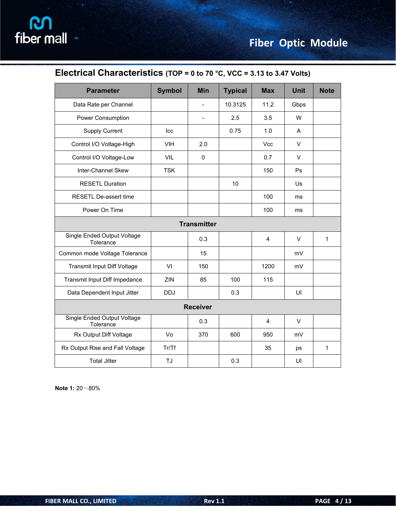## **Electrical Characteristics (TOP = 0 to 70 °C, VCC = 3.13 to 3.47 Volts)**

| <b>Parameter</b>                                | <b>Symbol</b> | Min                | <b>Typical</b> | <b>Max</b> | <b>Unit</b>  | <b>Note</b>  |
|-------------------------------------------------|---------------|--------------------|----------------|------------|--------------|--------------|
| Data Rate per Channel                           |               | $\sim$             | 10.3125        | 11.2       | Gbps         |              |
| Power Consumption                               |               | $\blacksquare$     | 2.5            | 3.5        | W            |              |
| <b>Supply Current</b>                           | Icc           |                    | 0.75           | 1.0        | A            |              |
| Control I/O Voltage-High                        | <b>VIH</b>    | 2.0                |                | Vcc        | V            |              |
| Control I/O Voltage-Low                         | VIL           | $\mathsf 0$        |                | 0.7        | $\vee$       |              |
| Inter-Channel Skew                              | <b>TSK</b>    |                    |                | 150        | Ps           |              |
| <b>RESETL Duration</b>                          |               |                    | 10             |            | Us           |              |
| RESETL De-assert time                           |               |                    |                | 100        | ms           |              |
| Power On Time                                   |               |                    |                | 100        | ms           |              |
|                                                 |               | <b>Transmitter</b> |                |            |              |              |
| Single Ended Output Voltage<br>Tolerance        |               | 0.3                |                | 4          | $\mathsf{V}$ | $\mathbf{1}$ |
| Common mode Voltage Tolerance                   |               | 15                 |                |            | mV           |              |
| Transmit Input Diff Voltage                     | VI            | 150                |                | 1200       | mV           |              |
| Transmit Input Diff Impedance                   | ZIN           | 85                 | 100            | 115        |              |              |
| Data Dependent Input Jitter                     | <b>DDJ</b>    |                    | 0.3            |            | UI           |              |
|                                                 |               | <b>Receiver</b>    |                |            |              |              |
| <b>Single Ended Output Voltage</b><br>Tolerance |               | 0.3                |                | 4          | V            |              |
| Rx Output Diff Voltage                          | Vo            | 370                | 600            | 950        | mV           |              |
| Rx Output Rise and Fall Voltage                 | Tr/Tf         |                    |                | 35         | ps           | $\mathbf{1}$ |
| <b>Total Jitter</b>                             | TJ            |                    | 0.3            |            | UI           |              |

**Note 1:** 20~80%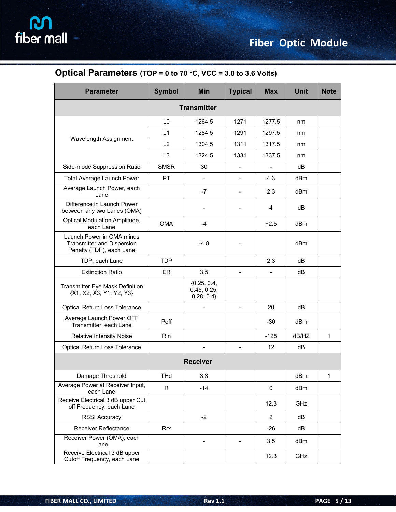| <b>Parameter</b>                                                                           | <b>Symbol</b>  | <b>Min</b>                                 | <b>Typical</b>           | <b>Max</b>               | <b>Unit</b>     | <b>Note</b>  |
|--------------------------------------------------------------------------------------------|----------------|--------------------------------------------|--------------------------|--------------------------|-----------------|--------------|
|                                                                                            |                | <b>Transmitter</b>                         |                          |                          |                 |              |
|                                                                                            | L <sub>0</sub> | 1264.5                                     | 1271                     | 1277.5                   | nm              |              |
|                                                                                            | L1             | 1284.5                                     | 1291                     | 1297.5                   | nm              |              |
| Wavelength Assignment                                                                      | L2             | 1304.5                                     | 1311                     | 1317.5                   | nm              |              |
|                                                                                            | L <sub>3</sub> | 1324.5                                     | 1331                     | 1337.5                   | nm              |              |
| Side-mode Suppression Ratio                                                                | <b>SMSR</b>    | 30                                         | $\overline{\phantom{a}}$ | $\overline{\phantom{a}}$ | dB              |              |
| Total Average Launch Power                                                                 | PT             | $\overline{\phantom{a}}$                   | $\overline{\phantom{a}}$ | 4.3                      | dBm             |              |
| Average Launch Power, each<br>Lane                                                         |                | $-7$                                       | $\blacksquare$           | 2.3                      | dBm             |              |
| Difference in Launch Power<br>between any two Lanes (OMA)                                  |                |                                            | $\overline{\phantom{a}}$ | 4                        | dB              |              |
| Optical Modulation Amplitude,<br>each Lane                                                 | <b>OMA</b>     | $-4$                                       |                          | $+2.5$                   | dB <sub>m</sub> |              |
| Launch Power in OMA minus<br><b>Transmitter and Dispersion</b><br>Penalty (TDP), each Lane |                | $-4.8$                                     |                          |                          | dBm             |              |
| TDP, each Lane                                                                             | <b>TDP</b>     |                                            |                          | 2.3                      | dB              |              |
| <b>Extinction Ratio</b>                                                                    | ER             | 3.5                                        | $\overline{\phantom{a}}$ | $\overline{\phantom{a}}$ | dB              |              |
| Transmitter Eye Mask Definition<br>{X1, X2, X3, Y1, Y2, Y3}                                |                | ${0.25, 0.4,}$<br>0.45, 0.25,<br>0.28, 0.4 |                          |                          |                 |              |
| Optical Return Loss Tolerance                                                              |                | $\overline{a}$                             | $\blacksquare$           | 20                       | dB              |              |
| Average Launch Power OFF<br>Transmitter, each Lane                                         | Poff           |                                            |                          | $-30$                    | dBm             |              |
| <b>Relative Intensity Noise</b>                                                            | Rin            |                                            |                          | $-128$                   | dB/HZ           | $\mathbf{1}$ |
| Optical Return Loss Tolerance                                                              |                |                                            | $\overline{\phantom{a}}$ | 12                       | dB              |              |
|                                                                                            |                | <b>Receiver</b>                            |                          |                          |                 |              |
| Damage Threshold                                                                           | THd            | 3.3                                        |                          |                          | dBm             | 1            |
| Average Power at Receiver Input,<br>each Lane                                              | $\mathsf{R}$   | $-14$                                      |                          | 0                        | dBm             |              |
| Receive Electrical 3 dB upper Cut<br>off Frequency, each Lane                              |                |                                            |                          | 12.3                     | GHz             |              |
| <b>RSSI Accuracy</b>                                                                       |                | $-2$                                       |                          | $\overline{2}$           | dB              |              |
| Receiver Reflectance                                                                       | <b>Rrx</b>     |                                            |                          | $-26$                    | dB              |              |
| Receiver Power (OMA), each<br>Lane                                                         |                | $\blacksquare$                             | $\overline{\phantom{0}}$ | 3.5                      | dBm             |              |
| Receive Electrical 3 dB upper<br>Cutoff Frequency, each Lane                               |                |                                            |                          | 12.3                     | GHz             |              |

## **Optical Parameters (TOP = 0 to 70 °C, VCC = 3.0 to 3.6 Volts)**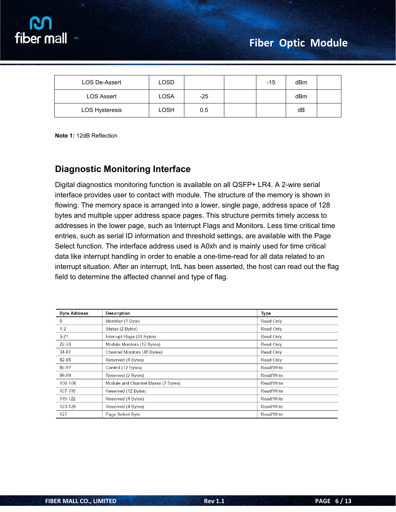

| LOS De-Assert         | LOSD |       | -15 | dBm |  |
|-----------------------|------|-------|-----|-----|--|
| <b>LOS Assert</b>     | LOSA | $-25$ |     | dBm |  |
| <b>LOS Hysteresis</b> | LOSH | 0.5   |     | dB  |  |

**Note 1:** 12dB Reflection

## **Diagnostic Monitoring Interface**

Digital diagnostics monitoring function is available on all QSFP+ LR4. A 2-wire serial interface provides user to contact with module. The structure of the memory is shown in flowing. The memory space is arranged into a lower, single page, address space of 128 bytes and multiple upper address space pages. This structure permits timely access to addresses in the lower page, such as Interrupt Flags and Monitors. Less time critical time entries, such as serial ID information and threshold settings, are available with the Page Select function. The interface address used is A0xh and is mainly used for time critical data like interrupt handling in order to enable a one-time-read for all data related to an interrupt situation. After an interrupt, IntL has been asserted, the host can read out the flag field to determine the affected channel and type of flag.

| <b>Byte Address</b> | <b>Description</b>                 | <b>Type</b> |
|---------------------|------------------------------------|-------------|
| 0                   | Identifier (1 Byte)                | Read Only   |
| $1-2$               | Status (2 Bytes)                   | Read Only   |
| $3-21$              | Interrupt Flags (31 Bytes)         | Read Only   |
| 22-33               | Module Monitors (12 Bytes)         | Read Only   |
| 34-81               | Channel Monitors (48 Bytes)        | Read Only   |
| 82-85               | Reserved (4 Bytes)                 | Read Only   |
| 86-97               | Control (12 Bytes)                 | Read/Write  |
| 98-99               | Reserved (2 Bytes)                 | Read/Write  |
| 100-106             | Module and Channel Masks (7 Bytes) | Read/Write  |
| 107-118             | Reserved (12 Bytes)                | Read/Write  |
| 119-122             | Reserved (4 Bytes)                 | Read/Write  |
| 123-126             | Reserved (4 Bytes)                 | Read/Write  |
| 127                 | Page Select Byte                   | Read/Write  |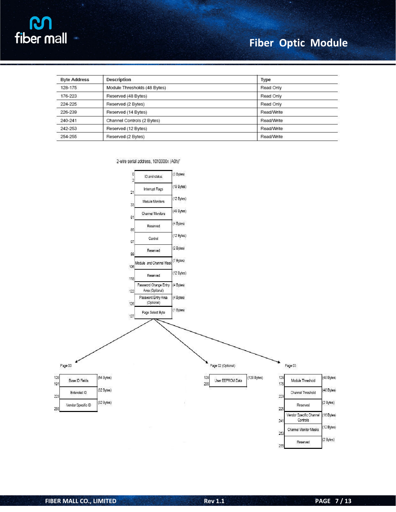

| <b>Byte Address</b> | <b>Description</b>           | Type              |
|---------------------|------------------------------|-------------------|
| 128-175             | Module Thresholds (48 Bytes) | Read Only         |
| 176-223             | Reserved (48 Bytes)          | Read Only         |
| 224-225             | Reserved (2 Bytes)           | Read Only         |
| 226-239             | Reserved (14 Bytes)          | Read/Write        |
| 240-241             | Channel Controls (2 Bytes)   | Read/Write        |
| 242-253             | Reserved (12 Bytes)          | Read/Write        |
| 254-255             | Reserved (2 Bytes)           | <b>Read/Write</b> |

2-wire serial address, 1010000x (A0h)"

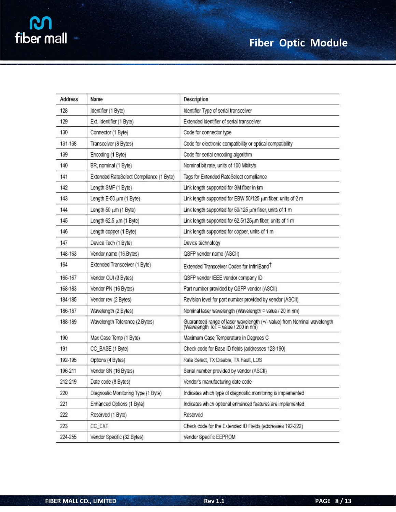| <b>Address</b> | Name                                    | Description                                                                                                       |
|----------------|-----------------------------------------|-------------------------------------------------------------------------------------------------------------------|
| 128            | Identifier (1 Byte)                     | Identifier Type of serial transceiver                                                                             |
| 129            | Ext. Identifier (1 Byte)                | Extended identifier of serial transceiver                                                                         |
| 130            | Connector (1 Byte)                      | Code for connector type                                                                                           |
| 131-138        | Transceiver (8 Bytes)                   | Code for electronic compatibility or optical compatibility                                                        |
| 139            | Encoding (1 Byte)                       | Code for serial encoding algorithm                                                                                |
| 140            | BR, nominal (1 Byte)                    | Nominal bit rate, units of 100 Mbits/s                                                                            |
| 141            | Extended RateSelect Compliance (1 Byte) | Tags for Extended RateSelect compliance                                                                           |
| 142            | Length SMF (1 Byte)                     | Link length supported for SM fiber in km                                                                          |
| 143            | Length E-50 um (1 Byte)                 | Link length supported for EBW 50/125 um fiber, units of 2 m                                                       |
| 144            | Length 50 um (1 Byte)                   | Link length supported for 50/125 um fiber, units of 1 m                                                           |
| 145            | Length 62.5 um (1 Byte)                 | Link length supported for 62.5/125um fiber, units of 1 m                                                          |
| 146            | Length copper (1 Byte)                  | Link length supported for copper, units of 1 m                                                                    |
| 147            | Device Tech (1 Byte)                    | Device technology                                                                                                 |
| 148-163        | Vendor name (16 Bytes)                  | QSFP vendor name (ASCII)                                                                                          |
| 164            | Extended Transceiver (1 Byte)           | Extended Transceiver Codes for InfiniBand <sup>T</sup>                                                            |
| 165-167        | Vendor OUI (3 Bytes)                    | QSFP vendor IEEE vendor company ID                                                                                |
| 168-183        | Vendor PN (16 Bytes)                    | Part number provided by QSFP vendor (ASCII)                                                                       |
| 184-185        | Vendor rev (2 Bytes)                    | Revision level for part number provided by vendor (ASCII)                                                         |
| 186-187        | Wavelength (2 Bytes)                    | Nominal laser wavelength (Wavelength = value / 20 in nm)                                                          |
| 188-189        | Wavelength Tolerance (2 Bytes)          | Guaranteed range of laser wavelength (+/- value) from Nominal wavelength<br>(Wavelength Tol. = value / 200 in nm) |
| 190            | Max Case Temp (1 Byte)                  | Maximum Case Temperature in Degrees C                                                                             |
| 191            | CC_BASE (1 Byte)                        | Check code for Base ID fields (addresses 128-190)                                                                 |
| 192-195        | Options (4 Bytes)                       | Rate Select, TX Disable, TX Fault, LOS                                                                            |
| 196-211        | Vendor SN (16 Bytes)                    | Serial number provided by vendor (ASCII)                                                                          |
| 212-219        | Date code (8 Bytes)                     | Vendor's manufacturing date code                                                                                  |
| 220            | Diagnostic Monitoring Type (1 Byte)     | Indicates which type of diagnostic monitoring is implemented                                                      |
| 221            | Enhanced Options (1 Byte)               | Indicates which optional enhanced features are implemented                                                        |
| 222            | Reserved (1 Byte)                       | Reserved                                                                                                          |
| 223            | CC_EXT                                  | Check code for the Extended ID Fields (addresses 192-222)                                                         |
| 224-255        | Vendor Specific (32 Bytes)              | Vendor Specific EEPROM                                                                                            |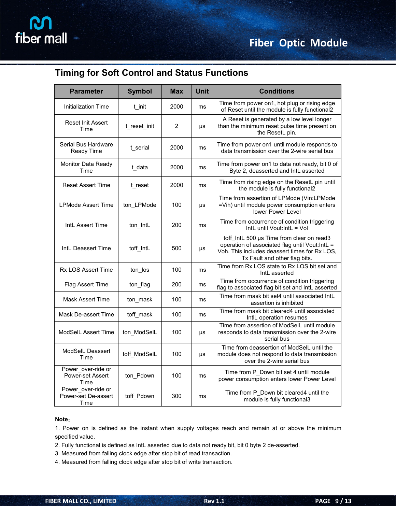## **Timing for Soft Control and Status Functions**

| <b>Parameter</b>                                  | <b>Symbol</b> | <b>Max</b> | <b>Unit</b> | <b>Conditions</b>                                                                                                                                                              |
|---------------------------------------------------|---------------|------------|-------------|--------------------------------------------------------------------------------------------------------------------------------------------------------------------------------|
| <b>Initialization Time</b>                        | t_init        | 2000       | ms          | Time from power on1, hot plug or rising edge<br>of Reset until the module is fully functional2                                                                                 |
| <b>Reset Init Assert</b><br>Time                  | t reset init  | 2          | <b>US</b>   | A Reset is generated by a low level longer<br>than the minimum reset pulse time present on<br>the ResetL pin.                                                                  |
| Serial Bus Hardware<br>Ready Time                 | t serial      | 2000       | ms          | Time from power on1 until module responds to<br>data transmission over the 2-wire serial bus                                                                                   |
| Monitor Data Ready<br>Time                        | t data        | 2000       | ms          | Time from power on1 to data not ready, bit 0 of<br>Byte 2, deasserted and IntL asserted                                                                                        |
| <b>Reset Assert Time</b>                          | t reset       | 2000       | ms          | Time from rising edge on the ResetL pin until<br>the module is fully functional2                                                                                               |
| <b>LPMode Assert Time</b>                         | ton LPMode    | 100        | μs          | Time from assertion of LPMode (Vin:LPMode<br>=Vih) until module power consumption enters<br>lower Power Level                                                                  |
| IntL Assert Time                                  | ton_IntL      | 200        | ms          | Time from occurrence of condition triggering<br>IntL until Vout: IntL = Vol                                                                                                    |
| IntL Deassert Time                                | toff IntL     | 500        | μs          | toff IntL 500 us Time from clear on read3<br>operation of associated flag until Vout: IntL =<br>Voh. This includes deassert times for Rx LOS,<br>Tx Fault and other flag bits. |
| <b>Rx LOS Assert Time</b>                         | ton_los       | 100        | ms          | Time from Rx LOS state to Rx LOS bit set and<br>IntL asserted                                                                                                                  |
| Flag Assert Time                                  | ton_flag      | 200        | ms          | Time from occurrence of condition triggering<br>flag to associated flag bit set and IntL asserted                                                                              |
| <b>Mask Assert Time</b>                           | ton_mask      | 100        | ms          | Time from mask bit set4 until associated IntL<br>assertion is inhibited                                                                                                        |
| Mask De-assert Time                               | toff mask     | 100        | ms          | Time from mask bit cleared4 until associated<br>IntlL operation resumes                                                                                                        |
| ModSelL Assert Time                               | ton ModSelL   | 100        | μs          | Time from assertion of ModSelL until module<br>responds to data transmission over the 2-wire<br>serial bus                                                                     |
| ModSelL Deassert<br>Time                          | toff ModSelL  | 100        | μs          | Time from deassertion of ModSelL until the<br>module does not respond to data transmission<br>over the 2-wire serial bus                                                       |
| Power over-ride or<br>Power-set Assert<br>Time    | ton_Pdown     | 100        | ms          | Time from P Down bit set 4 until module<br>power consumption enters lower Power Level                                                                                          |
| Power over-ride or<br>Power-set De-assert<br>Time | toff_Pdown    | 300        | ms          | Time from P Down bit cleared4 until the<br>module is fully functional3                                                                                                         |

#### **Note**:

1. Power on is defined as the instant when supply voltages reach and remain at or above the minimum specified value.

2. Fully functional is defined as IntL asserted due to data not ready bit, bit 0 byte 2 de-asserted.

- 3. Measured from falling clock edge after stop bit of read transaction.
- 4. Measured from falling clock edge after stop bit of write transaction.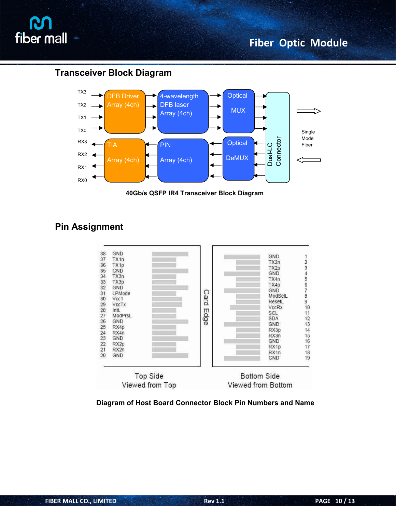

### **Transceiver Block Diagram**



**40Gb/s QSFP IR4 Transceiver Block Diagram**

## **Pin Assignment**



**Diagram of Host Board Connector Block Pin Numbers and Name**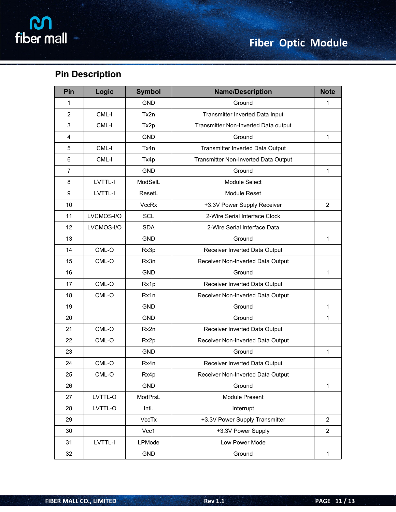## **Pin Description**

| Pin            | Logic      | <b>Symbol</b> | <b>Name/Description</b>              | <b>Note</b>    |
|----------------|------------|---------------|--------------------------------------|----------------|
| 1              |            | <b>GND</b>    | Ground                               | 1              |
| $\overline{2}$ | CML-I      | Tx2n          | Transmitter Inverted Data Input      |                |
| 3              | CML-I      | Tx2p          | Transmitter Non-Inverted Data output |                |
| 4              |            | <b>GND</b>    | Ground                               | 1              |
| 5              | CML-I      | Tx4n          | Transmitter Inverted Data Output     |                |
| $\,6\,$        | CML-I      | Tx4p          | Transmitter Non-Inverted Data Output |                |
| $\overline{7}$ |            | <b>GND</b>    | Ground                               | $\mathbf{1}$   |
| 8              | LVTTL-I    | ModSelL       | Module Select                        |                |
| 9              | LVTTL-I    | ResetL        | Module Reset                         |                |
| 10             |            | <b>VccRx</b>  | +3.3V Power Supply Receiver          | 2              |
| 11             | LVCMOS-I/O | SCL           | 2-Wire Serial Interface Clock        |                |
| 12             | LVCMOS-I/O | <b>SDA</b>    | 2-Wire Serial Interface Data         |                |
| 13             |            | <b>GND</b>    | Ground                               | 1              |
| 14             | $CML-O$    | Rx3p          | Receiver Inverted Data Output        |                |
| 15             | CML-O      | Rx3n          | Receiver Non-Inverted Data Output    |                |
| 16             |            | <b>GND</b>    | Ground                               | $\mathbf{1}$   |
| 17             | $CML-O$    | Rx1p          | Receiver Inverted Data Output        |                |
| 18             | $CML-O$    | Rx1n          | Receiver Non-Inverted Data Output    |                |
| 19             |            | <b>GND</b>    | Ground                               | 1              |
| 20             |            | <b>GND</b>    | Ground                               | $\mathbf{1}$   |
| 21             | $CML-O$    | Rx2n          | Receiver Inverted Data Output        |                |
| 22             | $CML-O$    | Rx2p          | Receiver Non-Inverted Data Output    |                |
| 23             |            | <b>GND</b>    | Ground                               | 1              |
| 24             | CML-O      | Rx4n          | Receiver Inverted Data Output        |                |
| 25             | CML-O      | Rx4p          | Receiver Non-Inverted Data Output    |                |
| 26             |            | GND           | Ground                               | 1              |
| 27             | LVTTL-O    | ModPrsL       | Module Present                       |                |
| 28             | LVTTL-O    | IntL          | Interrupt                            |                |
| 29             |            | VccTx         | +3.3V Power Supply Transmitter       | $\overline{2}$ |
| 30             |            | Vcc1          | +3.3V Power Supply                   | $\overline{2}$ |
| 31             | LVTTL-I    | LPMode        | Low Power Mode                       |                |
| 32             |            | GND           | Ground                               | $\mathbf{1}$   |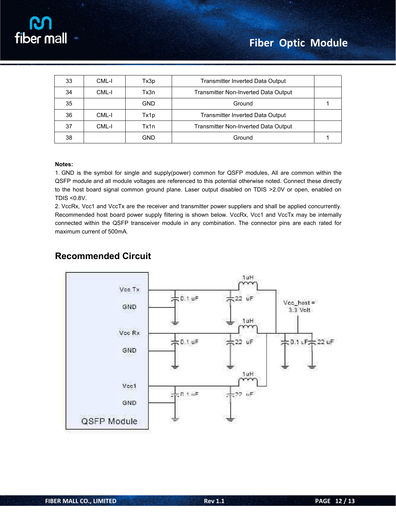| 33 | CML-I | Tx3p       | Transmitter Inverted Data Output     |  |
|----|-------|------------|--------------------------------------|--|
| 34 | CML-I | Tx3n       | Transmitter Non-Inverted Data Output |  |
| 35 |       | <b>GND</b> | Ground                               |  |
| 36 | CML-I | Tx1p       | Transmitter Inverted Data Output     |  |
| 37 | CML-I | Tx1n       | Transmitter Non-Inverted Data Output |  |
| 38 |       | <b>GND</b> | Ground                               |  |

#### **Notes:**

1. GND is the symbol for single and supply(power) common for QSFP modules, All are common within the QSFP module and all module voltages are referenced to this potential otherwise noted. Connect these directly to the host board signal common ground plane. Laser output disabled on TDIS >2.0V or open, enabled on TDIS <0.8V.

2. VccRx, Vcc1 and VccTx are the receiver and transmitter power suppliers and shall be applied concurrently. Recommended host board power supply filtering is shown below. VccRx, Vcc1 and VccTx may be internally connected within the QSFP transceiver module in any combination. The connector pins are each rated for maximum current of 500mA.

### **Recommended Circuit**